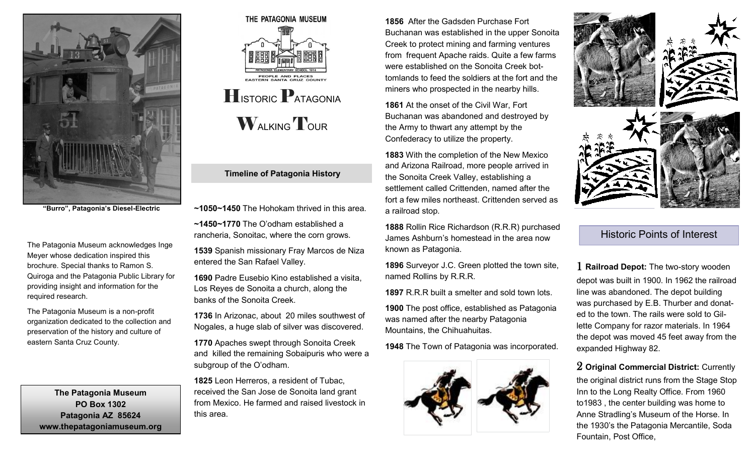

**"Burro", Patagonia's Diesel-Electric**

The Patagonia Museum acknowledges Inge Meyer whose dedication inspired this brochure. Special thanks to Ramon S. Quiroga and the Patagonia Public Library for providing insight and information for the required research.

The Patagonia Museum is a non-profit organization dedicated to the collection and preservation of the history and culture of eastern Santa Cruz County.

**The Patagonia Museum PO Box 1302 Patagonia AZ 85624 www.thepatagoniamuseum.org**



## **Timeline of Patagonia History**

- **~1050~1450** The Hohokam thrived in this area.
- **~1450~1770** The O'odham established a rancheria, Sonoitac, where the corn grows.

**1539** Spanish missionary Fray Marcos de Niza entered the San Rafael Valley.

**1690** Padre Eusebio Kino established a visita, Los Reyes de Sonoita a church, along the banks of the Sonoita Creek.

**1736** In Arizonac, about 20 miles southwest of Nogales, a huge slab of silver was discovered.

**1770** Apaches swept through Sonoita Creek and killed the remaining Sobaipuris who were a subgroup of the O'odham.

**1825** Leon Herreros, a resident of Tubac, received the San Jose de Sonoita land grant from Mexico. He farmed and raised livestock in this area.

**1856** After the Gadsden Purchase Fort Buchanan was established in the upper Sonoita Creek to protect mining and farming ventures from frequent Apache raids. Quite a few farms were established on the Sonoita Creek bottomlands to feed the soldiers at the fort and the miners who prospected in the nearby hills.

**1861** At the onset of the Civil War, Fort Buchanan was abandoned and destroyed by the Army to thwart any attempt by the Confederacy to utilize the property.

**1883** With the completion of the New Mexico and Arizona Railroad, more people arrived in the Sonoita Creek Valley, establishing a settlement called Crittenden, named after the fort a few miles northeast. Crittenden served as a railroad stop.

**1888** Rollin Rice Richardson (R.R.R) purchased James Ashburn's homestead in the area now known as Patagonia.

**1896** Surveyor J.C. Green plotted the town site, named Rollins by R.R.R.

**1897** R.R.R built a smelter and sold town lots.

**1900** The post office, established as Patagonia was named after the nearby Patagonia Mountains, the Chihuahuitas.

**1948** The Town of Patagonia was incorporated.





Historic Points of Interest

1 **Railroad Depot:** The two-story wooden depot was built in 1900. In 1962 the railroad line was abandoned. The depot building was purchased by E.B. Thurber and donated to the town. The rails were sold to Gillette Company for razor materials. In 1964 the depot was moved 45 feet away from the expanded Highway 82.

2 **Original Commercial District:** Currently

the original district runs from the Stage Stop Inn to the Long Realty Office. From 1960 to1983 , the center building was home to Anne Stradling's Museum of the Horse. In the 1930's the Patagonia Mercantile, Soda Fountain, Post Office,